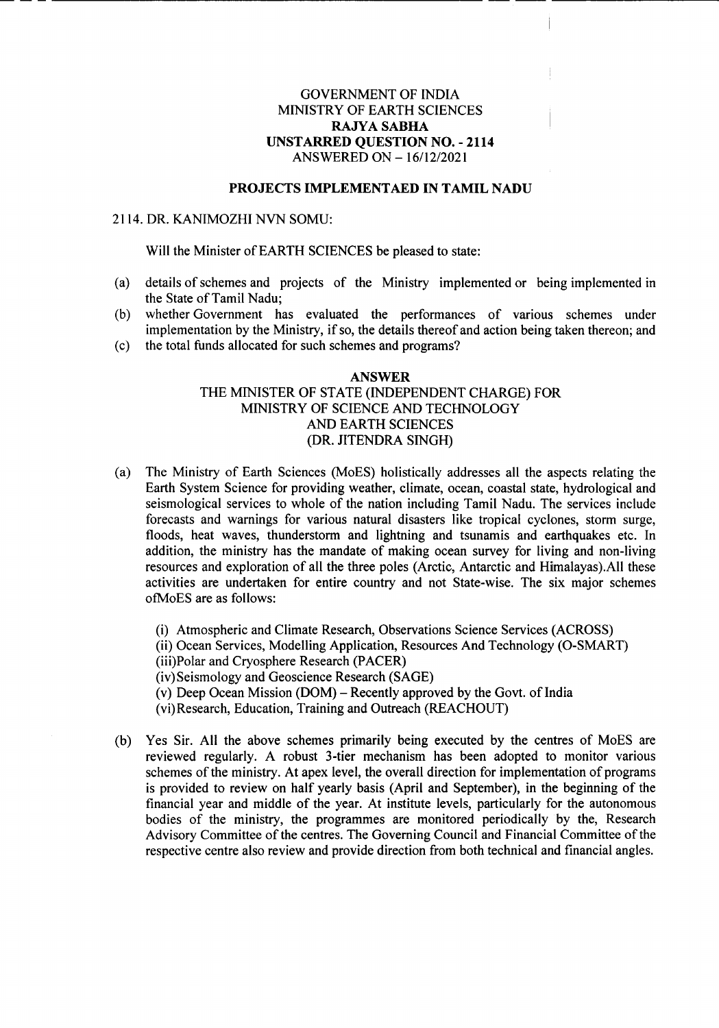# GOVERNMENT OF INDIA MINISTRY OF EARTH SCIENCES RAJYASABHA UNSTARRED QUESTION NO. - 2114 ANSWERED ON *-16112/2021*

#### PROJECTS IMPLEMENTAED IN TAMIL NADU

### 2114. DR. KANIMOZHI NVN SOMU:

Will the Minister of EARTH SCIENCES be pleased to state:

--\_------------------------------------------------------------------------------------

- (a) details of schemes and projects of the Ministry implemented or being implemented in the State of Tamil Nadu;
- (b) whether Government has evaluated the performances of various schemes under implementation by the Ministry, if so, the details thereof and action being taken thereon; and
- (c) the total funds allocated for such schemes and programs?

## ANSWER THE MINISTER OF STATE (INDEPENDENT CHARGE) FOR MINISTRY OF SCIENCE AND TECHNOLOGY AND EARTH SCIENCES (DR. JITENDRA SINGH)

- (a) The Ministry of Earth Sciences (MoES) holistically addresses all the aspects relating the Earth System Science for providing weather, climate, ocean, coastal state, hydrological and seismological services to whole of the nation including Tamil Nadu. The services include forecasts and warnings for various natural disasters like tropical cyclones, storm surge, floods, heat waves, thunderstorm and lightning and tsunamis and earthquakes etc. In addition, the ministry has the mandate of making ocean survey for living and non-living resources and exploration of all the three poles (Arctic, Antarctic and Himalayasj.All these activities are undertaken for entire country and not State-wise. The six major schemes ofMoES are as follows:
	- (i) Atmospheric and Climate Research, Observations Science Services (ACROSS)
	- (ii) Ocean Services, Modelling Application, Resources And Technology (O-SMART)
	- (iii)Polar and Cryosphere Research (PACER)
	- (iv)Seismology and Geoscience Research (SAGE)
	- (v) Deep Ocean Mission (DOM) Recently approved by the Govt. of India
	- (vi)Research, Education, Training and Outreach (REACHOUT)
- (b) Yes Sir. All the above schemes primarily being executed by the centres of MoES are reviewed regularly. A robust 3-tier mechanism has been adopted to monitor various schemes of the ministry. At apex level, the overall direction for implementation of programs is provided to review on half yearly basis (April and September), in the beginning of the financial year and middle of the year. At institute levels, particularly for the autonomous bodies of the ministry, the programmes are monitored periodically by the, Research Advisory Committee of the centres. The Governing Council and Financial Committee of the respective centre also review and provide direction from both technical and financial angles.